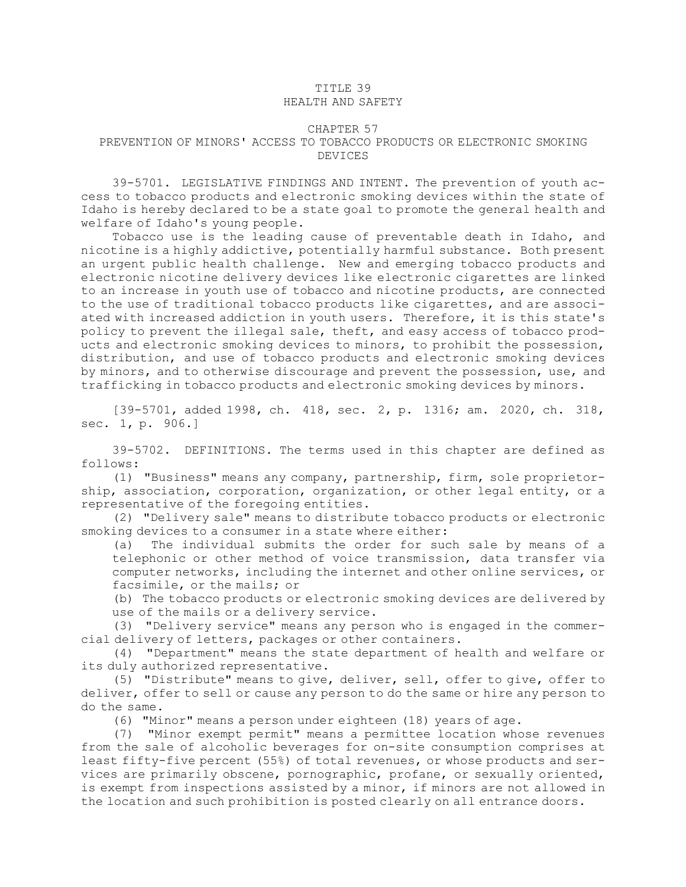## TITLE 39 HEALTH AND SAFETY

## CHAPTER 57

## PREVENTION OF MINORS' ACCESS TO TOBACCO PRODUCTS OR ELECTRONIC SMOKING DEVICES

39-5701. LEGISLATIVE FINDINGS AND INTENT. The prevention of youth access to tobacco products and electronic smoking devices within the state of Idaho is hereby declared to be <sup>a</sup> state goal to promote the general health and welfare of Idaho's young people.

Tobacco use is the leading cause of preventable death in Idaho, and nicotine is <sup>a</sup> highly addictive, potentially harmful substance. Both present an urgent public health challenge. New and emerging tobacco products and electronic nicotine delivery devices like electronic cigarettes are linked to an increase in youth use of tobacco and nicotine products, are connected to the use of traditional tobacco products like cigarettes, and are associated with increased addiction in youth users. Therefore, it is this state's policy to prevent the illegal sale, theft, and easy access of tobacco products and electronic smoking devices to minors, to prohibit the possession, distribution, and use of tobacco products and electronic smoking devices by minors, and to otherwise discourage and prevent the possession, use, and trafficking in tobacco products and electronic smoking devices by minors.

[39-5701, added 1998, ch. 418, sec. 2, p. 1316; am. 2020, ch. 318, sec. 1, p. 906.]

39-5702. DEFINITIONS. The terms used in this chapter are defined as follows:

(1) "Business" means any company, partnership, firm, sole proprietorship, association, corporation, organization, or other legal entity, or <sup>a</sup> representative of the foregoing entities.

(2) "Delivery sale" means to distribute tobacco products or electronic smoking devices to <sup>a</sup> consumer in <sup>a</sup> state where either:

(a) The individual submits the order for such sale by means of <sup>a</sup> telephonic or other method of voice transmission, data transfer via computer networks, including the internet and other online services, or facsimile, or the mails; or

(b) The tobacco products or electronic smoking devices are delivered by use of the mails or <sup>a</sup> delivery service.

(3) "Delivery service" means any person who is engaged in the commercial delivery of letters, packages or other containers.

(4) "Department" means the state department of health and welfare or its duly authorized representative.

(5) "Distribute" means to give, deliver, sell, offer to give, offer to deliver, offer to sell or cause any person to do the same or hire any person to do the same.

(6) "Minor" means <sup>a</sup> person under eighteen (18) years of age.

(7) "Minor exempt permit" means <sup>a</sup> permittee location whose revenues from the sale of alcoholic beverages for on-site consumption comprises at least fifty-five percent (55%) of total revenues, or whose products and services are primarily obscene, pornographic, profane, or sexually oriented, is exempt from inspections assisted by <sup>a</sup> minor, if minors are not allowed in the location and such prohibition is posted clearly on all entrance doors.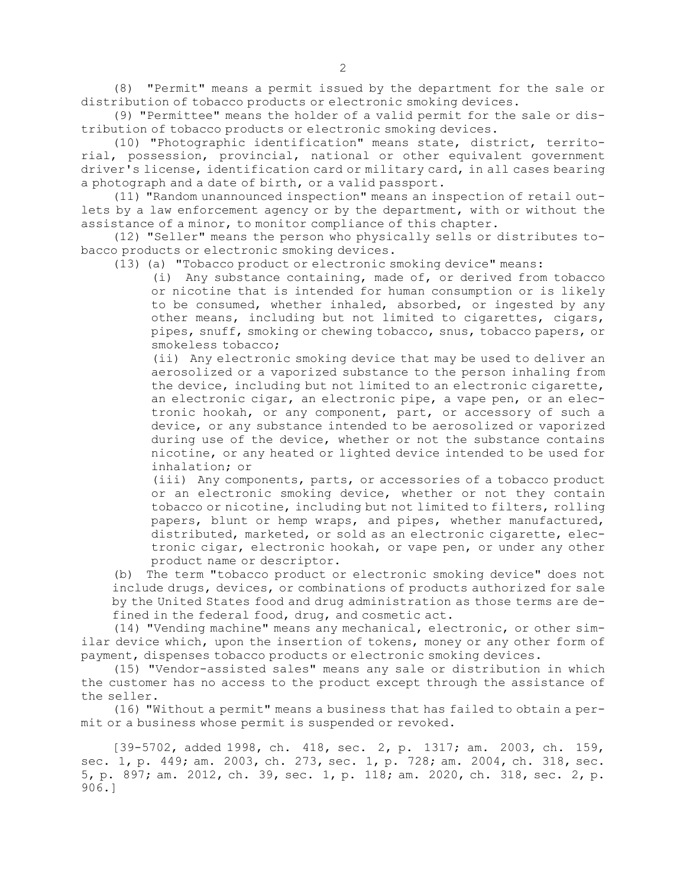(8) "Permit" means <sup>a</sup> permit issued by the department for the sale or distribution of tobacco products or electronic smoking devices.

(9) "Permittee" means the holder of <sup>a</sup> valid permit for the sale or distribution of tobacco products or electronic smoking devices.

(10) "Photographic identification" means state, district, territorial, possession, provincial, national or other equivalent government driver's license, identification card or military card, in all cases bearing <sup>a</sup> photograph and <sup>a</sup> date of birth, or <sup>a</sup> valid passport.

(11) "Random unannounced inspection" means an inspection of retail outlets by <sup>a</sup> law enforcement agency or by the department, with or without the assistance of <sup>a</sup> minor, to monitor compliance of this chapter.

(12) "Seller" means the person who physically sells or distributes tobacco products or electronic smoking devices.

(13) (a) "Tobacco product or electronic smoking device" means:

(i) Any substance containing, made of, or derived from tobacco or nicotine that is intended for human consumption or is likely to be consumed, whether inhaled, absorbed, or ingested by any other means, including but not limited to cigarettes, cigars, pipes, snuff, smoking or chewing tobacco, snus, tobacco papers, or smokeless tobacco;

(ii) Any electronic smoking device that may be used to deliver an aerosolized or <sup>a</sup> vaporized substance to the person inhaling from the device, including but not limited to an electronic cigarette, an electronic cigar, an electronic pipe, <sup>a</sup> vape pen, or an electronic hookah, or any component, part, or accessory of such <sup>a</sup> device, or any substance intended to be aerosolized or vaporized during use of the device, whether or not the substance contains nicotine, or any heated or lighted device intended to be used for inhalation; or

(iii) Any components, parts, or accessories of <sup>a</sup> tobacco product or an electronic smoking device, whether or not they contain tobacco or nicotine, including but not limited to filters, rolling papers, blunt or hemp wraps, and pipes, whether manufactured, distributed, marketed, or sold as an electronic cigarette, electronic cigar, electronic hookah, or vape pen, or under any other product name or descriptor.

(b) The term "tobacco product or electronic smoking device" does not include drugs, devices, or combinations of products authorized for sale by the United States food and drug administration as those terms are defined in the federal food, drug, and cosmetic act.

(14) "Vending machine" means any mechanical, electronic, or other similar device which, upon the insertion of tokens, money or any other form of payment, dispenses tobacco products or electronic smoking devices.

(15) "Vendor-assisted sales" means any sale or distribution in which the customer has no access to the product except through the assistance of the seller.

(16) "Without <sup>a</sup> permit" means <sup>a</sup> business that has failed to obtain <sup>a</sup> permit or <sup>a</sup> business whose permit is suspended or revoked.

[39-5702, added 1998, ch. 418, sec. 2, p. 1317; am. 2003, ch. 159, sec. 1, p. 449; am. 2003, ch. 273, sec. 1, p. 728; am. 2004, ch. 318, sec. 5, p. 897; am. 2012, ch. 39, sec. 1, p. 118; am. 2020, ch. 318, sec. 2, p. 906.]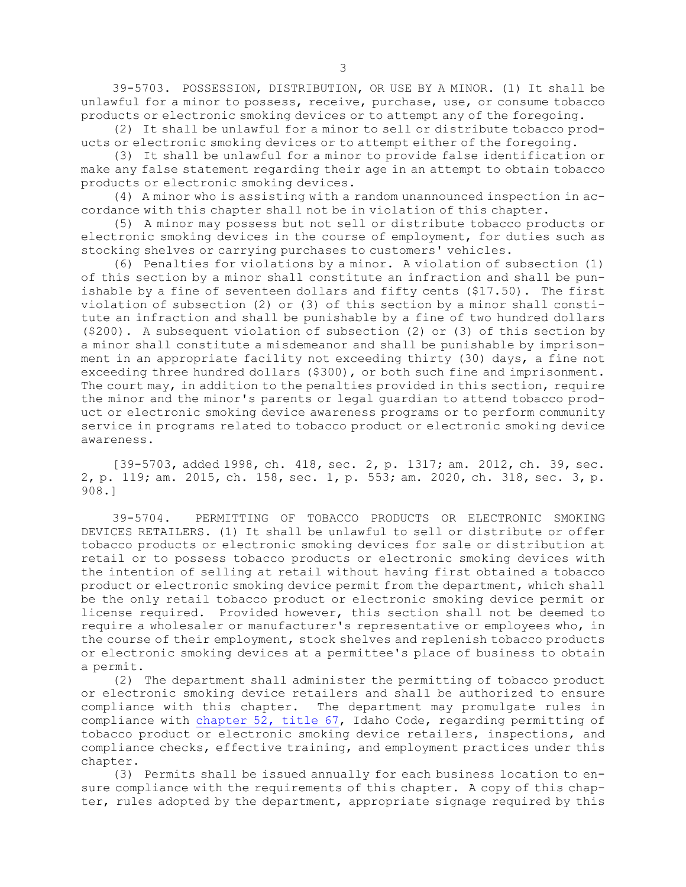39-5703. POSSESSION, DISTRIBUTION, OR USE BY A MINOR. (1) It shall be unlawful for <sup>a</sup> minor to possess, receive, purchase, use, or consume tobacco products or electronic smoking devices or to attempt any of the foregoing.

(2) It shall be unlawful for <sup>a</sup> minor to sell or distribute tobacco products or electronic smoking devices or to attempt either of the foregoing.

(3) It shall be unlawful for <sup>a</sup> minor to provide false identification or make any false statement regarding their age in an attempt to obtain tobacco products or electronic smoking devices.

(4) <sup>A</sup> minor who is assisting with <sup>a</sup> random unannounced inspection in accordance with this chapter shall not be in violation of this chapter.

(5) <sup>A</sup> minor may possess but not sell or distribute tobacco products or electronic smoking devices in the course of employment, for duties such as stocking shelves or carrying purchases to customers' vehicles.

(6) Penalties for violations by <sup>a</sup> minor. <sup>A</sup> violation of subsection (1) of this section by <sup>a</sup> minor shall constitute an infraction and shall be punishable by <sup>a</sup> fine of seventeen dollars and fifty cents (\$17.50). The first violation of subsection (2) or (3) of this section by <sup>a</sup> minor shall constitute an infraction and shall be punishable by <sup>a</sup> fine of two hundred dollars (\$200). <sup>A</sup> subsequent violation of subsection (2) or (3) of this section by <sup>a</sup> minor shall constitute <sup>a</sup> misdemeanor and shall be punishable by imprisonment in an appropriate facility not exceeding thirty (30) days, <sup>a</sup> fine not exceeding three hundred dollars (\$300), or both such fine and imprisonment. The court may, in addition to the penalties provided in this section, require the minor and the minor's parents or legal guardian to attend tobacco product or electronic smoking device awareness programs or to perform community service in programs related to tobacco product or electronic smoking device awareness.

[39-5703, added 1998, ch. 418, sec. 2, p. 1317; am. 2012, ch. 39, sec. 2, p. 119; am. 2015, ch. 158, sec. 1, p. 553; am. 2020, ch. 318, sec. 3, p. 908.]

39-5704. PERMITTING OF TOBACCO PRODUCTS OR ELECTRONIC SMOKING DEVICES RETAILERS. (1) It shall be unlawful to sell or distribute or offer tobacco products or electronic smoking devices for sale or distribution at retail or to possess tobacco products or electronic smoking devices with the intention of selling at retail without having first obtained <sup>a</sup> tobacco product or electronic smoking device permit from the department, which shall be the only retail tobacco product or electronic smoking device permit or license required. Provided however, this section shall not be deemed to require <sup>a</sup> wholesaler or manufacturer's representative or employees who, in the course of their employment, stock shelves and replenish tobacco products or electronic smoking devices at <sup>a</sup> permittee's place of business to obtain <sup>a</sup> permit.

(2) The department shall administer the permitting of tobacco product or electronic smoking device retailers and shall be authorized to ensure compliance with this chapter. The department may promulgate rules in compliance with [chapter](/statutesrules/idstat/Title67/T67CH52) 52, title 67, Idaho Code, regarding permitting of tobacco product or electronic smoking device retailers, inspections, and compliance checks, effective training, and employment practices under this chapter.

(3) Permits shall be issued annually for each business location to ensure compliance with the requirements of this chapter. A copy of this chapter, rules adopted by the department, appropriate signage required by this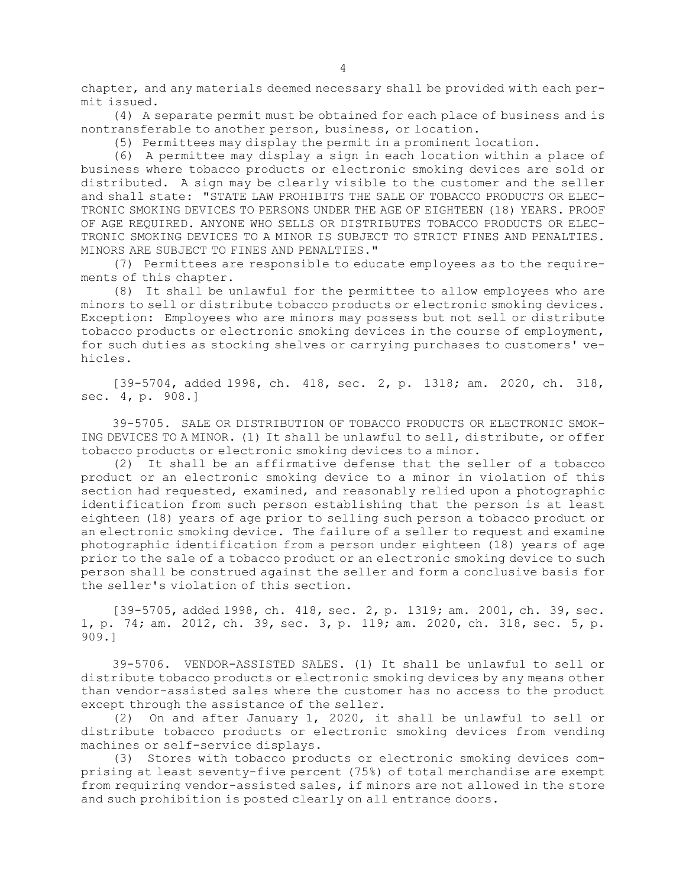chapter, and any materials deemed necessary shall be provided with each permit issued.

(4) <sup>A</sup> separate permit must be obtained for each place of business and is nontransferable to another person, business, or location.

(5) Permittees may display the permit in <sup>a</sup> prominent location.

(6) <sup>A</sup> permittee may display <sup>a</sup> sign in each location within <sup>a</sup> place of business where tobacco products or electronic smoking devices are sold or distributed. <sup>A</sup> sign may be clearly visible to the customer and the seller and shall state: "STATE LAW PROHIBITS THE SALE OF TOBACCO PRODUCTS OR ELEC-TRONIC SMOKING DEVICES TO PERSONS UNDER THE AGE OF EIGHTEEN (18) YEARS. PROOF OF AGE REQUIRED. ANYONE WHO SELLS OR DISTRIBUTES TOBACCO PRODUCTS OR ELEC-TRONIC SMOKING DEVICES TO A MINOR IS SUBJECT TO STRICT FINES AND PENALTIES. MINORS ARE SUBJECT TO FINES AND PENALTIES."

(7) Permittees are responsible to educate employees as to the requirements of this chapter.

(8) It shall be unlawful for the permittee to allow employees who are minors to sell or distribute tobacco products or electronic smoking devices. Exception: Employees who are minors may possess but not sell or distribute tobacco products or electronic smoking devices in the course of employment, for such duties as stocking shelves or carrying purchases to customers' vehicles.

[39-5704, added 1998, ch. 418, sec. 2, p. 1318; am. 2020, ch. 318, sec. 4, p. 908.]

39-5705. SALE OR DISTRIBUTION OF TOBACCO PRODUCTS OR ELECTRONIC SMOK-ING DEVICES TO A MINOR. (1) It shall be unlawful to sell, distribute, or offer tobacco products or electronic smoking devices to <sup>a</sup> minor.

(2) It shall be an affirmative defense that the seller of <sup>a</sup> tobacco product or an electronic smoking device to <sup>a</sup> minor in violation of this section had requested, examined, and reasonably relied upon <sup>a</sup> photographic identification from such person establishing that the person is at least eighteen (18) years of age prior to selling such person <sup>a</sup> tobacco product or an electronic smoking device. The failure of <sup>a</sup> seller to request and examine photographic identification from <sup>a</sup> person under eighteen (18) years of age prior to the sale of <sup>a</sup> tobacco product or an electronic smoking device to such person shall be construed against the seller and form <sup>a</sup> conclusive basis for the seller's violation of this section.

[39-5705, added 1998, ch. 418, sec. 2, p. 1319; am. 2001, ch. 39, sec. 1, p. 74; am. 2012, ch. 39, sec. 3, p. 119; am. 2020, ch. 318, sec. 5, p. 909.]

39-5706. VENDOR-ASSISTED SALES. (1) It shall be unlawful to sell or distribute tobacco products or electronic smoking devices by any means other than vendor-assisted sales where the customer has no access to the product except through the assistance of the seller.

(2) On and after January 1, 2020, it shall be unlawful to sell or distribute tobacco products or electronic smoking devices from vending machines or self-service displays.

(3) Stores with tobacco products or electronic smoking devices comprising at least seventy-five percent (75%) of total merchandise are exempt from requiring vendor-assisted sales, if minors are not allowed in the store and such prohibition is posted clearly on all entrance doors.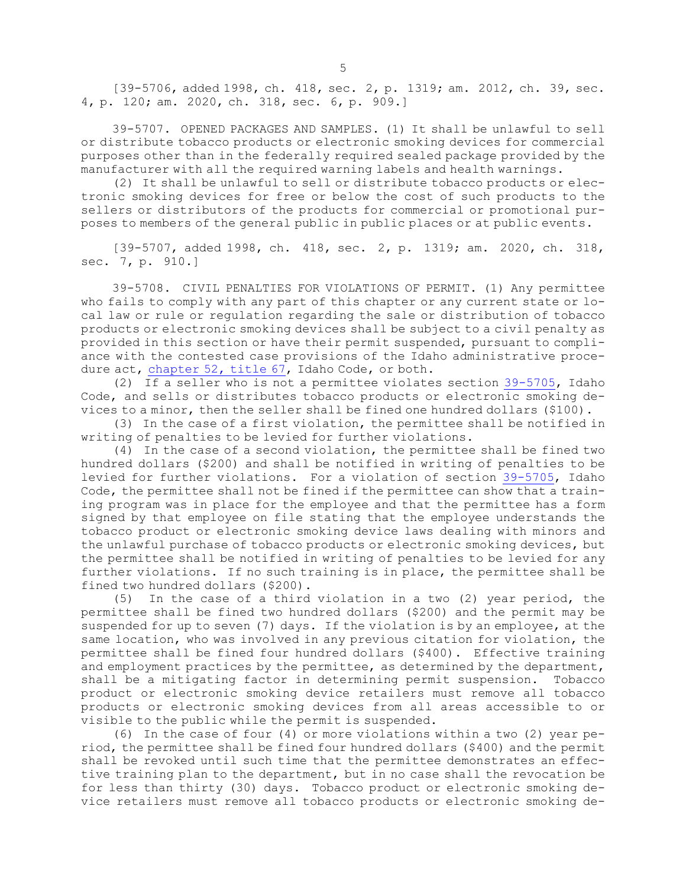[39-5706, added 1998, ch. 418, sec. 2, p. 1319; am. 2012, ch. 39, sec. 4, p. 120; am. 2020, ch. 318, sec. 6, p. 909.]

39-5707. OPENED PACKAGES AND SAMPLES. (1) It shall be unlawful to sell or distribute tobacco products or electronic smoking devices for commercial purposes other than in the federally required sealed package provided by the manufacturer with all the required warning labels and health warnings.

(2) It shall be unlawful to sell or distribute tobacco products or electronic smoking devices for free or below the cost of such products to the sellers or distributors of the products for commercial or promotional purposes to members of the general public in public places or at public events.

[39-5707, added 1998, ch. 418, sec. 2, p. 1319; am. 2020, ch. 318, sec. 7, p. 910.]

39-5708. CIVIL PENALTIES FOR VIOLATIONS OF PERMIT. (1) Any permittee who fails to comply with any part of this chapter or any current state or local law or rule or regulation regarding the sale or distribution of tobacco products or electronic smoking devices shall be subject to <sup>a</sup> civil penalty as provided in this section or have their permit suspended, pursuant to compliance with the contested case provisions of the Idaho administrative procedure act, [chapter](/statutesrules/idstat/Title67/T67CH52) 52, title 67, Idaho Code, or both.

(2) If <sup>a</sup> seller who is not <sup>a</sup> permittee violates section [39-5705](/statutesrules/idstat/Title39/T39CH57/SECT39-5705), Idaho Code, and sells or distributes tobacco products or electronic smoking devices to <sup>a</sup> minor, then the seller shall be fined one hundred dollars (\$100).

(3) In the case of <sup>a</sup> first violation, the permittee shall be notified in writing of penalties to be levied for further violations.

(4) In the case of <sup>a</sup> second violation, the permittee shall be fined two hundred dollars (\$200) and shall be notified in writing of penalties to be levied for further violations. For <sup>a</sup> violation of section [39-5705](/statutesrules/idstat/Title39/T39CH57/SECT39-5705), Idaho Code, the permittee shall not be fined if the permittee can show that <sup>a</sup> training program was in place for the employee and that the permittee has <sup>a</sup> form signed by that employee on file stating that the employee understands the tobacco product or electronic smoking device laws dealing with minors and the unlawful purchase of tobacco products or electronic smoking devices, but the permittee shall be notified in writing of penalties to be levied for any further violations. If no such training is in place, the permittee shall be fined two hundred dollars (\$200).

(5) In the case of <sup>a</sup> third violation in <sup>a</sup> two (2) year period, the permittee shall be fined two hundred dollars (\$200) and the permit may be suspended for up to seven (7) days. If the violation is by an employee, at the same location, who was involved in any previous citation for violation, the permittee shall be fined four hundred dollars (\$400). Effective training and employment practices by the permittee, as determined by the department, shall be <sup>a</sup> mitigating factor in determining permit suspension. Tobacco product or electronic smoking device retailers must remove all tobacco products or electronic smoking devices from all areas accessible to or visible to the public while the permit is suspended.

(6) In the case of four (4) or more violations within <sup>a</sup> two (2) year period, the permittee shall be fined four hundred dollars (\$400) and the permit shall be revoked until such time that the permittee demonstrates an effective training plan to the department, but in no case shall the revocation be for less than thirty (30) days. Tobacco product or electronic smoking device retailers must remove all tobacco products or electronic smoking de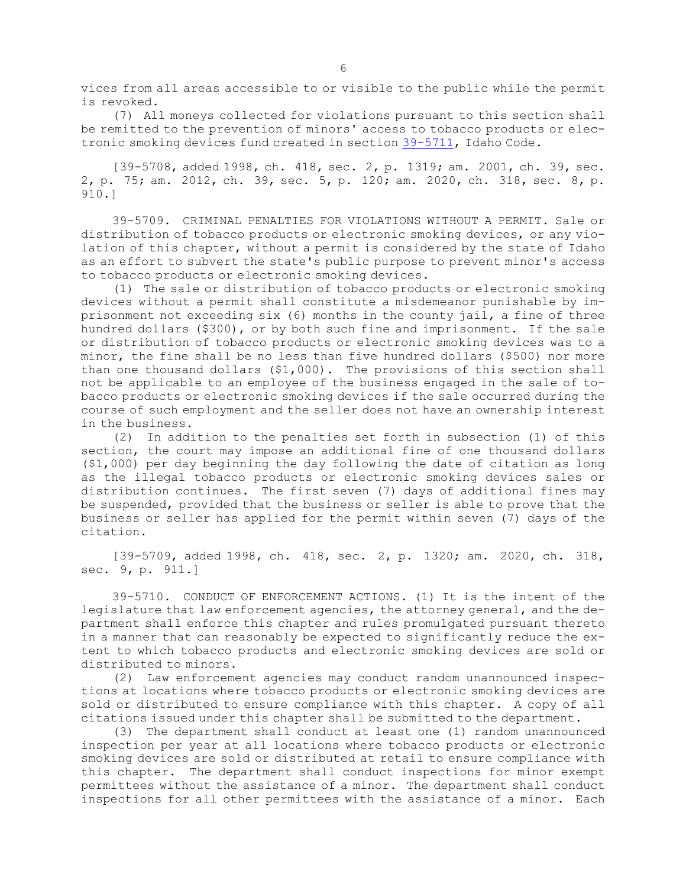vices from all areas accessible to or visible to the public while the permit is revoked.

(7) All moneys collected for violations pursuant to this section shall be remitted to the prevention of minors' access to tobacco products or electronic smoking devices fund created in section [39-5711](/statutesrules/idstat/Title39/T39CH57/SECT39-5711), Idaho Code.

[39-5708, added 1998, ch. 418, sec. 2, p. 1319; am. 2001, ch. 39, sec. 2, p. 75; am. 2012, ch. 39, sec. 5, p. 120; am. 2020, ch. 318, sec. 8, p. 910.]

39-5709. CRIMINAL PENALTIES FOR VIOLATIONS WITHOUT A PERMIT. Sale or distribution of tobacco products or electronic smoking devices, or any violation of this chapter, without <sup>a</sup> permit is considered by the state of Idaho as an effort to subvert the state's public purpose to prevent minor's access to tobacco products or electronic smoking devices.

(1) The sale or distribution of tobacco products or electronic smoking devices without <sup>a</sup> permit shall constitute <sup>a</sup> misdemeanor punishable by imprisonment not exceeding  $six$  (6) months in the county jail, a fine of three hundred dollars (\$300), or by both such fine and imprisonment. If the sale or distribution of tobacco products or electronic smoking devices was to <sup>a</sup> minor, the fine shall be no less than five hundred dollars (\$500) nor more than one thousand dollars (\$1,000). The provisions of this section shall not be applicable to an employee of the business engaged in the sale of tobacco products or electronic smoking devices if the sale occurred during the course of such employment and the seller does not have an ownership interest in the business.

(2) In addition to the penalties set forth in subsection (1) of this section, the court may impose an additional fine of one thousand dollars (\$1,000) per day beginning the day following the date of citation as long as the illegal tobacco products or electronic smoking devices sales or distribution continues. The first seven (7) days of additional fines may be suspended, provided that the business or seller is able to prove that the business or seller has applied for the permit within seven (7) days of the citation.

[39-5709, added 1998, ch. 418, sec. 2, p. 1320; am. 2020, ch. 318, sec. 9, p. 911.]

39-5710. CONDUCT OF ENFORCEMENT ACTIONS. (1) It is the intent of the legislature that law enforcement agencies, the attorney general, and the department shall enforce this chapter and rules promulgated pursuant thereto in <sup>a</sup> manner that can reasonably be expected to significantly reduce the extent to which tobacco products and electronic smoking devices are sold or distributed to minors.

(2) Law enforcement agencies may conduct random unannounced inspections at locations where tobacco products or electronic smoking devices are sold or distributed to ensure compliance with this chapter. <sup>A</sup> copy of all citations issued under this chapter shall be submitted to the department.

(3) The department shall conduct at least one (1) random unannounced inspection per year at all locations where tobacco products or electronic smoking devices are sold or distributed at retail to ensure compliance with this chapter. The department shall conduct inspections for minor exempt permittees without the assistance of <sup>a</sup> minor. The department shall conduct inspections for all other permittees with the assistance of <sup>a</sup> minor. Each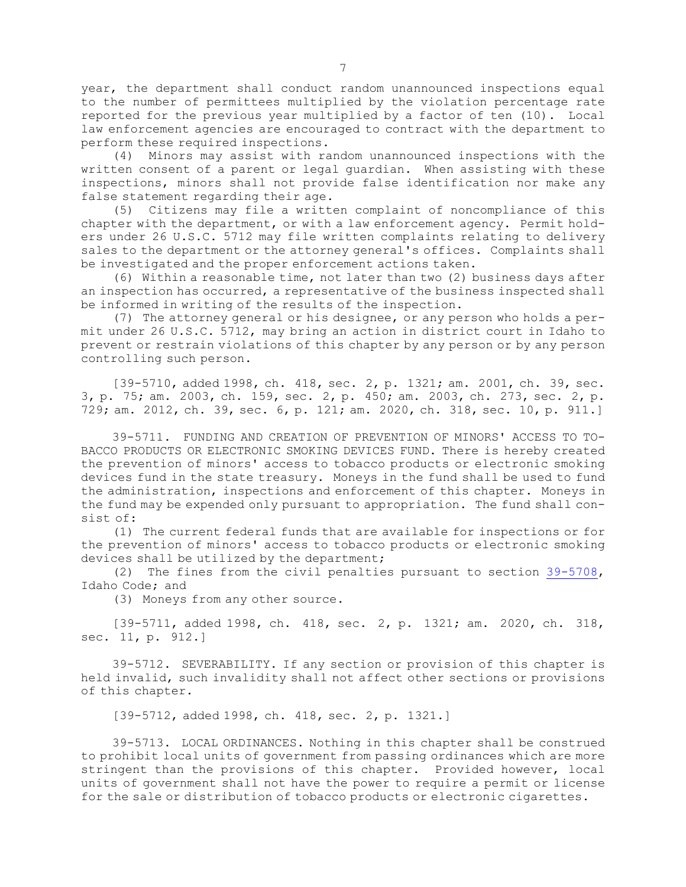year, the department shall conduct random unannounced inspections equal to the number of permittees multiplied by the violation percentage rate reported for the previous year multiplied by <sup>a</sup> factor of ten (10). Local law enforcement agencies are encouraged to contract with the department to perform these required inspections.

(4) Minors may assist with random unannounced inspections with the written consent of <sup>a</sup> parent or legal guardian. When assisting with these inspections, minors shall not provide false identification nor make any false statement regarding their age.

(5) Citizens may file <sup>a</sup> written complaint of noncompliance of this chapter with the department, or with <sup>a</sup> law enforcement agency. Permit holders under 26 U.S.C. 5712 may file written complaints relating to delivery sales to the department or the attorney general's offices. Complaints shall be investigated and the proper enforcement actions taken.

(6) Within <sup>a</sup> reasonable time, not later than two (2) business days after an inspection has occurred, <sup>a</sup> representative of the business inspected shall be informed in writing of the results of the inspection.

(7) The attorney general or his designee, or any person who holds <sup>a</sup> permit under 26 U.S.C. 5712, may bring an action in district court in Idaho to prevent or restrain violations of this chapter by any person or by any person controlling such person.

[39-5710, added 1998, ch. 418, sec. 2, p. 1321; am. 2001, ch. 39, sec. 3, p. 75; am. 2003, ch. 159, sec. 2, p. 450; am. 2003, ch. 273, sec. 2, p. 729; am. 2012, ch. 39, sec. 6, p. 121; am. 2020, ch. 318, sec. 10, p. 911.]

39-5711. FUNDING AND CREATION OF PREVENTION OF MINORS' ACCESS TO TO-BACCO PRODUCTS OR ELECTRONIC SMOKING DEVICES FUND. There is hereby created the prevention of minors' access to tobacco products or electronic smoking devices fund in the state treasury. Moneys in the fund shall be used to fund the administration, inspections and enforcement of this chapter. Moneys in the fund may be expended only pursuant to appropriation. The fund shall consist of:

(1) The current federal funds that are available for inspections or for the prevention of minors' access to tobacco products or electronic smoking devices shall be utilized by the department;

(2) The fines from the civil penalties pursuant to section [39-5708](/statutesrules/idstat/Title39/T39CH57/SECT39-5708), Idaho Code; and

(3) Moneys from any other source.

[39-5711, added 1998, ch. 418, sec. 2, p. 1321; am. 2020, ch. 318, sec. 11, p. 912.]

39-5712. SEVERABILITY. If any section or provision of this chapter is held invalid, such invalidity shall not affect other sections or provisions of this chapter.

[39-5712, added 1998, ch. 418, sec. 2, p. 1321.]

39-5713. LOCAL ORDINANCES. Nothing in this chapter shall be construed to prohibit local units of government from passing ordinances which are more stringent than the provisions of this chapter. Provided however, local units of government shall not have the power to require <sup>a</sup> permit or license for the sale or distribution of tobacco products or electronic cigarettes.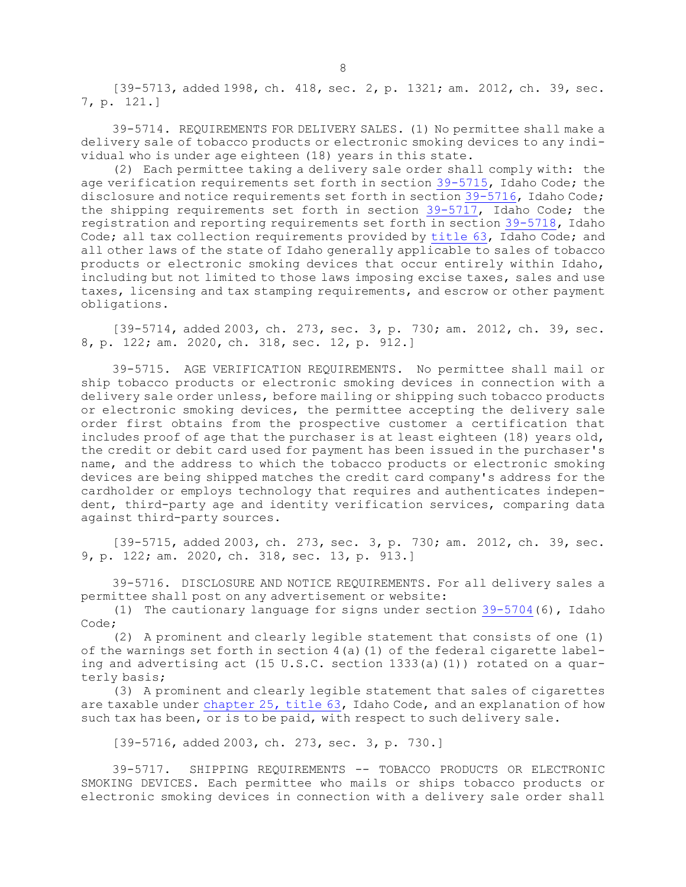[39-5713, added 1998, ch. 418, sec. 2, p. 1321; am. 2012, ch. 39, sec. 7, p. 121.]

39-5714. REQUIREMENTS FOR DELIVERY SALES. (1) No permittee shall make <sup>a</sup> delivery sale of tobacco products or electronic smoking devices to any individual who is under age eighteen (18) years in this state.

(2) Each permittee taking <sup>a</sup> delivery sale order shall comply with: the age verification requirements set forth in section [39-5715](/statutesrules/idstat/Title39/T39CH57/SECT39-5715), Idaho Code; the disclosure and notice requirements set forth in section [39-5716](/statutesrules/idstat/Title39/T39CH57/SECT39-5716), Idaho Code; the shipping requirements set forth in section [39-5717](/statutesrules/idstat/Title39/T39CH57/SECT39-5717), Idaho Code; the registration and reporting requirements set forth in section [39-5718](/statutesrules/idstat/Title39/T39CH57/SECT39-5718), Idaho Code; all tax collection requirements provided by [title](/statutesrules/idstat/Title63/) 63, Idaho Code; and all other laws of the state of Idaho generally applicable to sales of tobacco products or electronic smoking devices that occur entirely within Idaho, including but not limited to those laws imposing excise taxes, sales and use taxes, licensing and tax stamping requirements, and escrow or other payment obligations.

[39-5714, added 2003, ch. 273, sec. 3, p. 730; am. 2012, ch. 39, sec. 8, p. 122; am. 2020, ch. 318, sec. 12, p. 912.]

39-5715. AGE VERIFICATION REQUIREMENTS. No permittee shall mail or ship tobacco products or electronic smoking devices in connection with <sup>a</sup> delivery sale order unless, before mailing or shipping such tobacco products or electronic smoking devices, the permittee accepting the delivery sale order first obtains from the prospective customer <sup>a</sup> certification that includes proof of age that the purchaser is at least eighteen (18) years old, the credit or debit card used for payment has been issued in the purchaser's name, and the address to which the tobacco products or electronic smoking devices are being shipped matches the credit card company's address for the cardholder or employs technology that requires and authenticates independent, third-party age and identity verification services, comparing data against third-party sources.

[39-5715, added 2003, ch. 273, sec. 3, p. 730; am. 2012, ch. 39, sec. 9, p. 122; am. 2020, ch. 318, sec. 13, p. 913.]

39-5716. DISCLOSURE AND NOTICE REQUIREMENTS. For all delivery sales <sup>a</sup> permittee shall post on any advertisement or website:

(1) The cautionary language for signs under section [39-5704](https://legislature.idaho.gov/statutesrules/idstat/Title39/T39CH57/SECT39-5704)(6), Idaho Code;

(2) <sup>A</sup> prominent and clearly legible statement that consists of one (1) of the warnings set forth in section 4(a)(1) of the federal cigarette labeling and advertising act (15 U.S.C. section 1333(a)(1)) rotated on <sup>a</sup> quarterly basis;

(3) <sup>A</sup> prominent and clearly legible statement that sales of cigarettes are taxable under [chapter](https://legislature.idaho.gov/statutesrules/idstat/Title63/T63CH25) 25, title 63, Idaho Code, and an explanation of how such tax has been, or is to be paid, with respect to such delivery sale.

[39-5716, added 2003, ch. 273, sec. 3, p. 730.]

39-5717. SHIPPING REQUIREMENTS -- TOBACCO PRODUCTS OR ELECTRONIC SMOKING DEVICES. Each permittee who mails or ships tobacco products or electronic smoking devices in connection with <sup>a</sup> delivery sale order shall